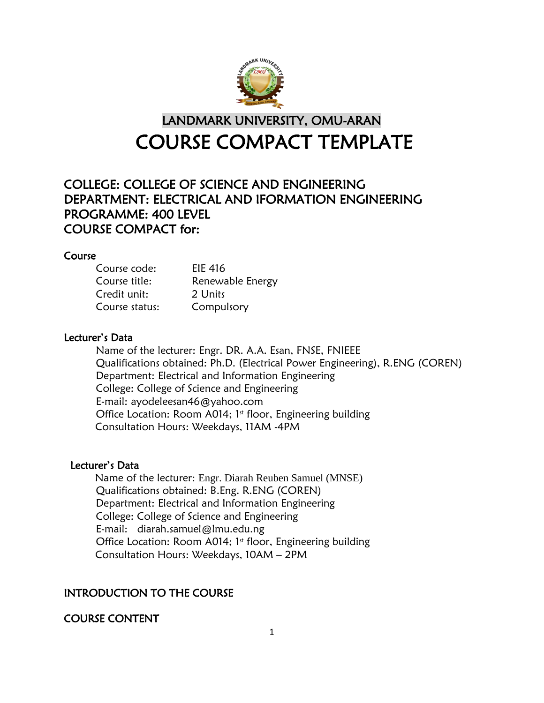

# LANDMARK UNIVERSITY, OMU-ARAN COURSE COMPACT TEMPLATE

# COLLEGE: COLLEGE OF SCIENCE AND ENGINEERING DEPARTMENT: ELECTRICAL AND IFORMATION ENGINEERING PROGRAMME: 400 LEVEL COURSE COMPACT for:

#### Course

| Course code:   | EIE 416          |  |
|----------------|------------------|--|
| Course title:  | Renewable Energy |  |
| Credit unit:   | 2 Units          |  |
| Course status: | Compulsory       |  |

#### Lecturer's Data

Name of the lecturer: Engr. DR. A.A. Esan, FNSE, FNIEEE Qualifications obtained: Ph.D. (Electrical Power Engineering), R.ENG (COREN) Department: Electrical and Information Engineering College: College of Science and Engineering E-mail: ayodeleesan46@yahoo.com Office Location: Room A014;  $1<sup>st</sup>$  floor, Engineering building Consultation Hours: Weekdays, 11AM -4PM

#### Lecturer's Data

 Name of the lecturer: Engr. Diarah Reuben Samuel (MNSE) Qualifications obtained: B.Eng. R.ENG (COREN) Department: Electrical and Information Engineering College: College of Science and Engineering E-mail: diarah.samuel@lmu.edu.ng Office Location: Room A014;  $1<sup>st</sup>$  floor, Engineering building Consultation Hours: Weekdays, 10AM – 2PM

# INTRODUCTION TO THE COURSE

# COURSE CONTENT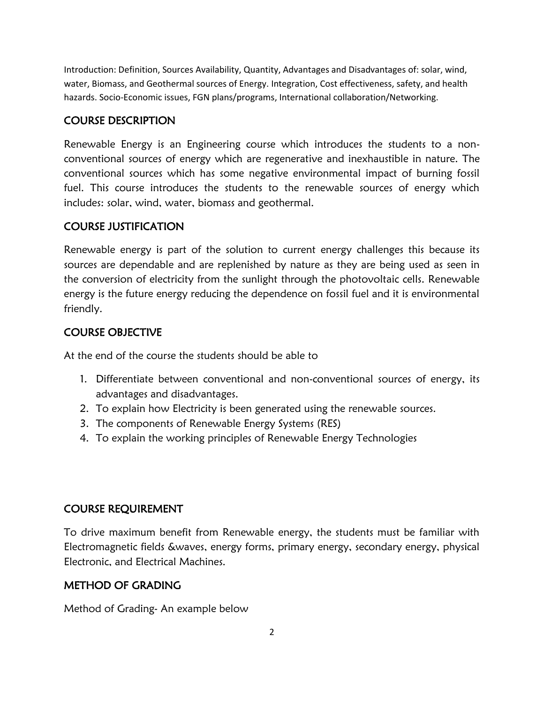Introduction: Definition, Sources Availability, Quantity, Advantages and Disadvantages of: solar, wind, water, Biomass, and Geothermal sources of Energy. Integration, Cost effectiveness, safety, and health hazards. Socio-Economic issues, FGN plans/programs, International collaboration/Networking.

# COURSE DESCRIPTION

Renewable Energy is an Engineering course which introduces the students to a nonconventional sources of energy which are regenerative and inexhaustible in nature. The conventional sources which has some negative environmental impact of burning fossil fuel. This course introduces the students to the renewable sources of energy which includes: solar, wind, water, biomass and geothermal.

# COURSE JUSTIFICATION

Renewable energy is part of the solution to current energy challenges this because its sources are dependable and are replenished by nature as they are being used as seen in the conversion of electricity from the sunlight through the photovoltaic cells. Renewable energy is the future energy reducing the dependence on fossil fuel and it is environmental friendly.

# COURSE OBJECTIVE

At the end of the course the students should be able to

- 1. Differentiate between conventional and non-conventional sources of energy, its advantages and disadvantages.
- 2. To explain how Electricity is been generated using the renewable sources.
- 3. The components of Renewable Energy Systems (RES)
- 4. To explain the working principles of Renewable Energy Technologies

# COURSE REQUIREMENT

To drive maximum benefit from Renewable energy, the students must be familiar with Electromagnetic fields &waves, energy forms, primary energy, secondary energy, physical Electronic, and Electrical Machines.

# METHOD OF GRADING

Method of Grading- An example below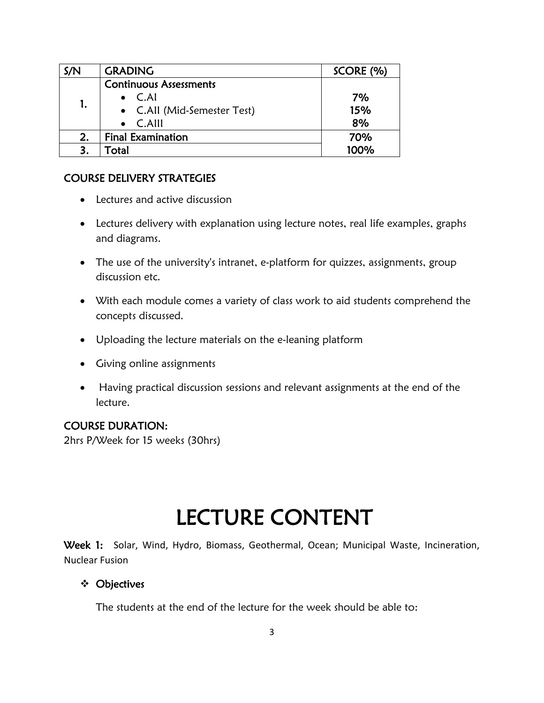| S/N | <b>GRADING</b>                | SCORE (%) |
|-----|-------------------------------|-----------|
|     | <b>Continuous Assessments</b> |           |
|     | $\bullet$ C.AI                | 7%        |
|     | • C.All (Mid-Semester Test)   | 15%       |
|     | $\bullet$ C.Alll              | 8%        |
|     | <b>Final Examination</b>      | 70%       |
|     | Total                         | 100%      |

#### COURSE DELIVERY STRATEGIES

- Lectures and active discussion
- Lectures delivery with explanation using lecture notes, real life examples, graphs and diagrams.
- The use of the university's intranet, e-platform for quizzes, assignments, group discussion etc.
- With each module comes a variety of class work to aid students comprehend the concepts discussed.
- Uploading the lecture materials on the e-leaning platform
- Giving online assignments
- Having practical discussion sessions and relevant assignments at the end of the lecture.

#### COURSE DURATION:

2hrs P/Week for 15 weeks (30hrs)

# LECTURE CONTENT

Week 1: Solar, Wind, Hydro, Biomass, Geothermal, Ocean; Municipal Waste, Incineration, Nuclear Fusion

#### Objectives

The students at the end of the lecture for the week should be able to: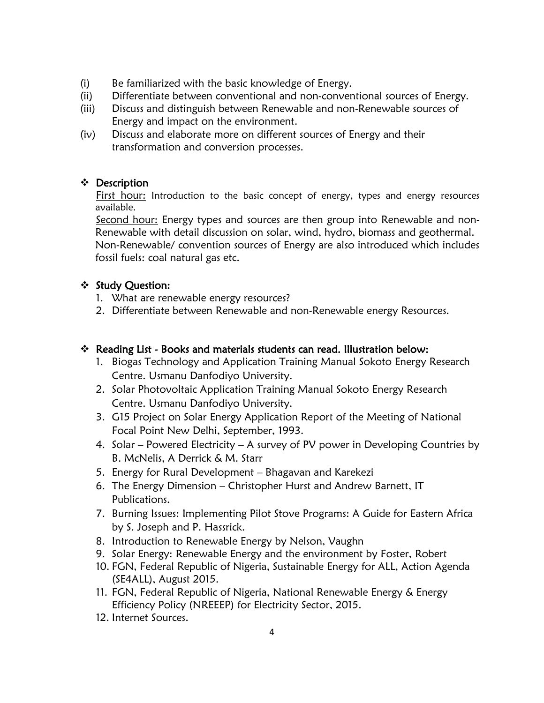- (i) Be familiarized with the basic knowledge of Energy.
- (ii) Differentiate between conventional and non-conventional sources of Energy.
- (iii) Discuss and distinguish between Renewable and non-Renewable sources of Energy and impact on the environment.
- (iv) Discuss and elaborate more on different sources of Energy and their transformation and conversion processes.

#### Description

First hour: Introduction to the basic concept of energy, types and energy resources available.

Second hour: Energy types and sources are then group into Renewable and non-Renewable with detail discussion on solar, wind, hydro, biomass and geothermal. Non-Renewable/ convention sources of Energy are also introduced which includes fossil fuels: coal natural gas etc.

#### ❖ Study Question:

- 1. What are renewable energy resources?
- 2. Differentiate between Renewable and non-Renewable energy Resources.

- 1. Biogas Technology and Application Training Manual Sokoto Energy Research Centre. Usmanu Danfodiyo University.
- 2. Solar Photovoltaic Application Training Manual Sokoto Energy Research Centre. Usmanu Danfodiyo University.
- 3. G15 Project on Solar Energy Application Report of the Meeting of National Focal Point New Delhi, September, 1993.
- 4. Solar Powered Electricity A survey of PV power in Developing Countries by B. McNelis, A Derrick & M. Starr
- 5. Energy for Rural Development Bhagavan and Karekezi
- 6. The Energy Dimension Christopher Hurst and Andrew Barnett, IT Publications.
- 7. Burning Issues: Implementing Pilot Stove Programs: A Guide for Eastern Africa by S. Joseph and P. Hassrick.
- 8. Introduction to Renewable Energy by Nelson, Vaughn
- 9. Solar Energy: Renewable Energy and the environment by Foster, Robert
- 10. FGN, Federal Republic of Nigeria, Sustainable Energy for ALL, Action Agenda (SE4ALL), August 2015.
- 11. FGN, Federal Republic of Nigeria, National Renewable Energy & Energy Efficiency Policy (NREEEP) for Electricity Sector, 2015.
- 12. Internet Sources.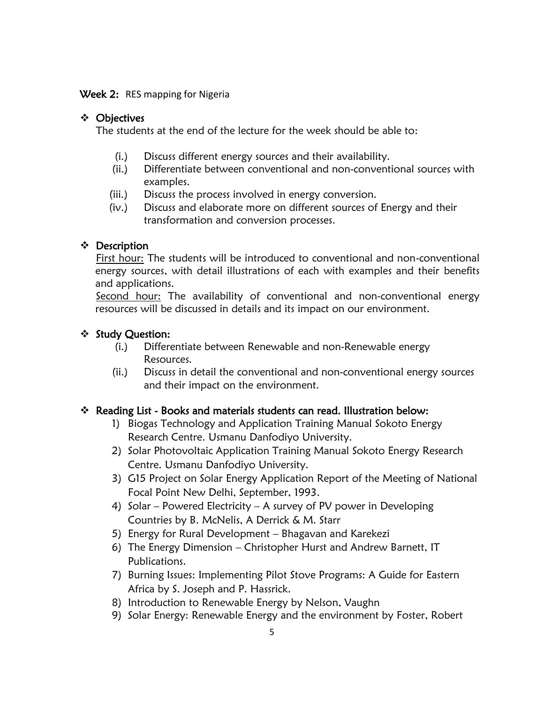#### Week 2: RES mapping for Nigeria

#### Objectives

The students at the end of the lecture for the week should be able to:

- (i.) Discuss different energy sources and their availability.
- (ii.) Differentiate between conventional and non-conventional sources with examples.
- (iii.) Discuss the process involved in energy conversion.
- (iv.) Discuss and elaborate more on different sources of Energy and their transformation and conversion processes.

#### Description

First hour: The students will be introduced to conventional and non-conventional energy sources, with detail illustrations of each with examples and their benefits and applications.

Second hour: The availability of conventional and non-conventional energy resources will be discussed in details and its impact on our environment.

#### ❖ Study Question:

- (i.) Differentiate between Renewable and non-Renewable energy Resources.
- (ii.) Discuss in detail the conventional and non-conventional energy sources and their impact on the environment.

- 1) Biogas Technology and Application Training Manual Sokoto Energy Research Centre. Usmanu Danfodiyo University.
- 2) Solar Photovoltaic Application Training Manual Sokoto Energy Research Centre. Usmanu Danfodiyo University.
- 3) G15 Project on Solar Energy Application Report of the Meeting of National Focal Point New Delhi, September, 1993.
- 4) Solar Powered Electricity A survey of PV power in Developing Countries by B. McNelis, A Derrick & M. Starr
- 5) Energy for Rural Development Bhagavan and Karekezi
- 6) The Energy Dimension Christopher Hurst and Andrew Barnett, IT Publications.
- 7) Burning Issues: Implementing Pilot Stove Programs: A Guide for Eastern Africa by S. Joseph and P. Hassrick.
- 8) Introduction to Renewable Energy by Nelson, Vaughn
- 9) Solar Energy: Renewable Energy and the environment by Foster, Robert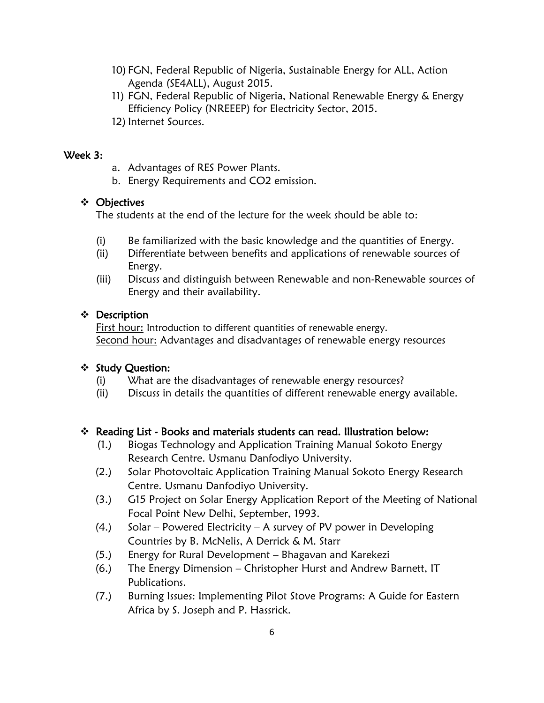- 10) FGN, Federal Republic of Nigeria, Sustainable Energy for ALL, Action Agenda (SE4ALL), August 2015.
- 11) FGN, Federal Republic of Nigeria, National Renewable Energy & Energy Efficiency Policy (NREEEP) for Electricity Sector, 2015.
- 12) Internet Sources.

#### Week 3:

- a. Advantages of RES Power Plants.
- b. Energy Requirements and CO2 emission.

# Objectives

The students at the end of the lecture for the week should be able to:

- (i) Be familiarized with the basic knowledge and the quantities of Energy.
- (ii) Differentiate between benefits and applications of renewable sources of Energy.
- (iii) Discuss and distinguish between Renewable and non-Renewable sources of Energy and their availability.

# ❖ Description

First hour: Introduction to different quantities of renewable energy. Second hour: Advantages and disadvantages of renewable energy resources

# ❖ Study Question:

- (i) What are the disadvantages of renewable energy resources?
- (ii) Discuss in details the quantities of different renewable energy available.

- (1.) Biogas Technology and Application Training Manual Sokoto Energy Research Centre. Usmanu Danfodiyo University.
- (2.) Solar Photovoltaic Application Training Manual Sokoto Energy Research Centre. Usmanu Danfodiyo University.
- (3.) G15 Project on Solar Energy Application Report of the Meeting of National Focal Point New Delhi, September, 1993.
- (4.) Solar Powered Electricity A survey of PV power in Developing Countries by B. McNelis, A Derrick & M. Starr
- (5.) Energy for Rural Development Bhagavan and Karekezi
- (6.) The Energy Dimension Christopher Hurst and Andrew Barnett, IT Publications.
- (7.) Burning Issues: Implementing Pilot Stove Programs: A Guide for Eastern Africa by S. Joseph and P. Hassrick.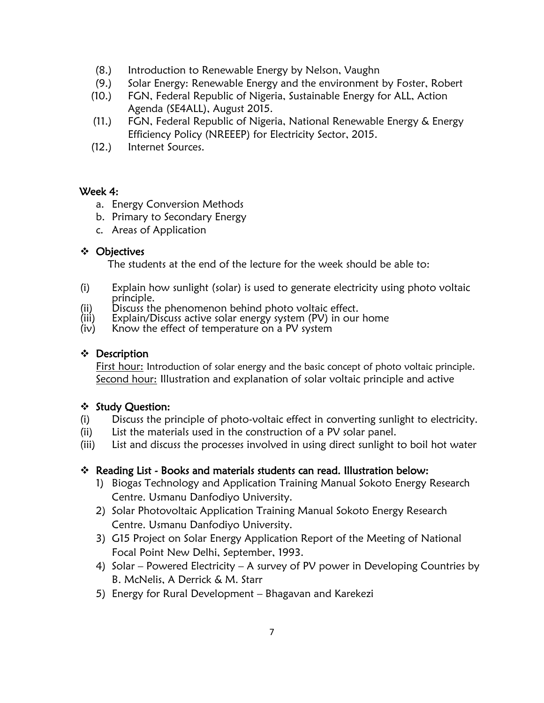- (8.) Introduction to Renewable Energy by Nelson, Vaughn
- (9.) Solar Energy: Renewable Energy and the environment by Foster, Robert
- (10.) FGN, Federal Republic of Nigeria, Sustainable Energy for ALL, Action Agenda (SE4ALL), August 2015.
- (11.) FGN, Federal Republic of Nigeria, National Renewable Energy & Energy Efficiency Policy (NREEEP) for Electricity Sector, 2015.
- (12.) Internet Sources.

#### Week 4:

- a. Energy Conversion Methods
- b. Primary to Secondary Energy
- c. Areas of Application

#### Objectives

The students at the end of the lecture for the week should be able to:

- (i) Explain how sunlight (solar) is used to generate electricity using photo voltaic principle.
- (ii) Discuss the phenomenon behind photo voltaic effect.
- (iii) Explain/Discuss active solar energy system (PV) in our home
- (iv) Know the effect of temperature on a PV system

#### Description

First hour: Introduction of solar energy and the basic concept of photo voltaic principle. Second hour: Illustration and explanation of solar voltaic principle and active

#### ❖ Study Question:

- (i) Discuss the principle of photo-voltaic effect in converting sunlight to electricity.
- (ii) List the materials used in the construction of a PV solar panel.
- (iii) List and discuss the processes involved in using direct sunlight to boil hot water

- 1) Biogas Technology and Application Training Manual Sokoto Energy Research Centre. Usmanu Danfodiyo University.
- 2) Solar Photovoltaic Application Training Manual Sokoto Energy Research Centre. Usmanu Danfodiyo University.
- 3) G15 Project on Solar Energy Application Report of the Meeting of National Focal Point New Delhi, September, 1993.
- 4) Solar Powered Electricity A survey of PV power in Developing Countries by B. McNelis, A Derrick & M. Starr
- 5) Energy for Rural Development Bhagavan and Karekezi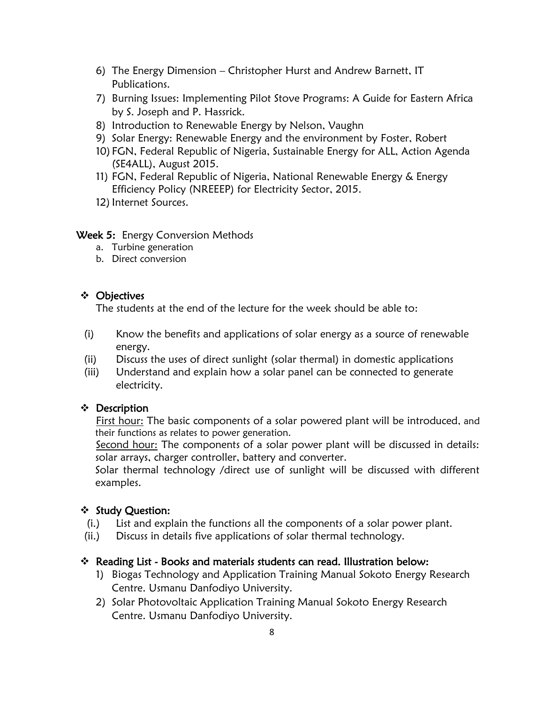- 6) The Energy Dimension Christopher Hurst and Andrew Barnett, IT Publications.
- 7) Burning Issues: Implementing Pilot Stove Programs: A Guide for Eastern Africa by S. Joseph and P. Hassrick.
- 8) Introduction to Renewable Energy by Nelson, Vaughn
- 9) Solar Energy: Renewable Energy and the environment by Foster, Robert
- 10) FGN, Federal Republic of Nigeria, Sustainable Energy for ALL, Action Agenda (SE4ALL), August 2015.
- 11) FGN, Federal Republic of Nigeria, National Renewable Energy & Energy Efficiency Policy (NREEEP) for Electricity Sector, 2015.
- 12) Internet Sources.

#### Week 5: Energy Conversion Methods

- a. Turbine generation
- b. Direct conversion

#### Objectives

The students at the end of the lecture for the week should be able to:

- (i) Know the benefits and applications of solar energy as a source of renewable energy.
- (ii) Discuss the uses of direct sunlight (solar thermal) in domestic applications
- (iii) Understand and explain how a solar panel can be connected to generate electricity.

#### ❖ Description

First hour: The basic components of a solar powered plant will be introduced, and their functions as relates to power generation.

Second hour: The components of a solar power plant will be discussed in details: solar arrays, charger controller, battery and converter.

Solar thermal technology /direct use of sunlight will be discussed with different examples.

#### ❖ Study Question:

- (i.) List and explain the functions all the components of a solar power plant.
- (ii.) Discuss in details five applications of solar thermal technology.

- 1) Biogas Technology and Application Training Manual Sokoto Energy Research Centre. Usmanu Danfodiyo University.
- 2) Solar Photovoltaic Application Training Manual Sokoto Energy Research Centre. Usmanu Danfodiyo University.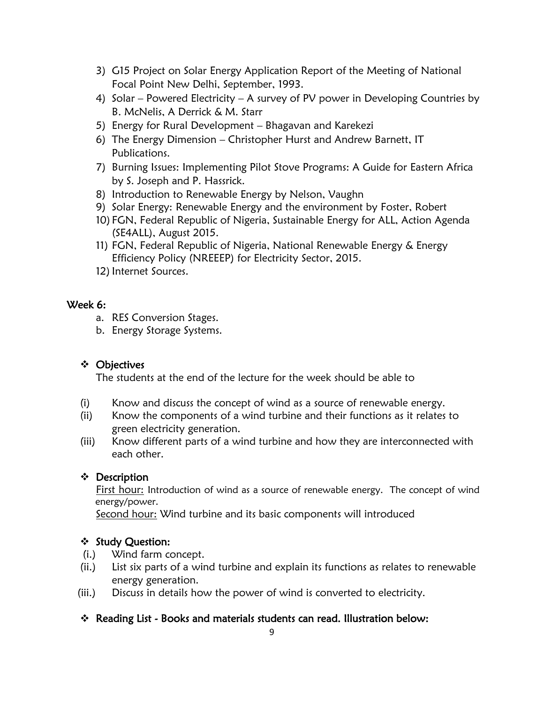- 3) G15 Project on Solar Energy Application Report of the Meeting of National Focal Point New Delhi, September, 1993.
- 4) Solar Powered Electricity A survey of PV power in Developing Countries by B. McNelis, A Derrick & M. Starr
- 5) Energy for Rural Development Bhagavan and Karekezi
- 6) The Energy Dimension Christopher Hurst and Andrew Barnett, IT Publications.
- 7) Burning Issues: Implementing Pilot Stove Programs: A Guide for Eastern Africa by S. Joseph and P. Hassrick.
- 8) Introduction to Renewable Energy by Nelson, Vaughn
- 9) Solar Energy: Renewable Energy and the environment by Foster, Robert
- 10) FGN, Federal Republic of Nigeria, Sustainable Energy for ALL, Action Agenda (SE4ALL), August 2015.
- 11) FGN, Federal Republic of Nigeria, National Renewable Energy & Energy Efficiency Policy (NREEEP) for Electricity Sector, 2015.
- 12) Internet Sources.

#### Week 6:

- a. RES Conversion Stages.
- b. Energy Storage Systems.

# Objectives

The students at the end of the lecture for the week should be able to

- (i) Know and discuss the concept of wind as a source of renewable energy.
- (ii) Know the components of a wind turbine and their functions as it relates to green electricity generation.
- (iii) Know different parts of a wind turbine and how they are interconnected with each other.

#### ❖ Description

First hour: Introduction of wind as a source of renewable energy. The concept of wind energy/power.

Second hour: Wind turbine and its basic components will introduced

#### ❖ Study Question:

- (i.) Wind farm concept.
- (ii.) List six parts of a wind turbine and explain its functions as relates to renewable energy generation.
- (iii.) Discuss in details how the power of wind is converted to electricity.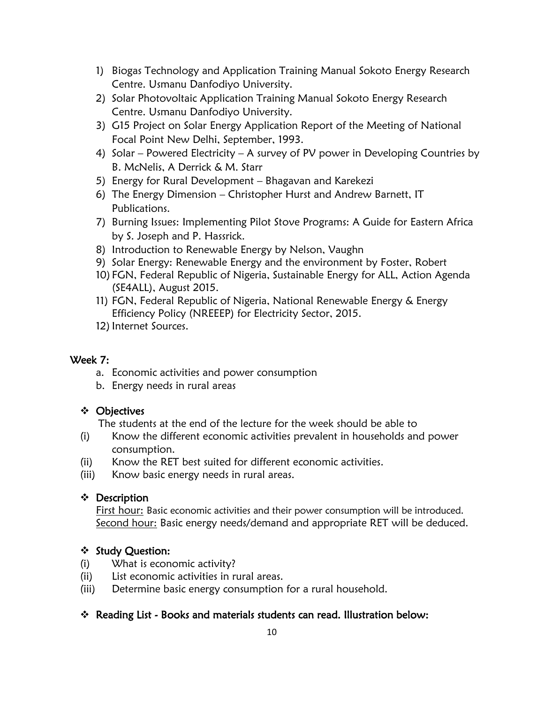- 1) Biogas Technology and Application Training Manual Sokoto Energy Research Centre. Usmanu Danfodiyo University.
- 2) Solar Photovoltaic Application Training Manual Sokoto Energy Research Centre. Usmanu Danfodiyo University.
- 3) G15 Project on Solar Energy Application Report of the Meeting of National Focal Point New Delhi, September, 1993.
- 4) Solar Powered Electricity A survey of PV power in Developing Countries by B. McNelis, A Derrick & M. Starr
- 5) Energy for Rural Development Bhagavan and Karekezi
- 6) The Energy Dimension Christopher Hurst and Andrew Barnett, IT Publications.
- 7) Burning Issues: Implementing Pilot Stove Programs: A Guide for Eastern Africa by S. Joseph and P. Hassrick.
- 8) Introduction to Renewable Energy by Nelson, Vaughn
- 9) Solar Energy: Renewable Energy and the environment by Foster, Robert
- 10) FGN, Federal Republic of Nigeria, Sustainable Energy for ALL, Action Agenda (SE4ALL), August 2015.
- 11) FGN, Federal Republic of Nigeria, National Renewable Energy & Energy Efficiency Policy (NREEEP) for Electricity Sector, 2015.
- 12) Internet Sources.

#### Week 7:

- a. Economic activities and power consumption
- b. Energy needs in rural areas

#### Objectives

The students at the end of the lecture for the week should be able to

- (i) Know the different economic activities prevalent in households and power consumption.
- (ii) Know the RET best suited for different economic activities.
- (iii) Know basic energy needs in rural areas.

#### Description

First hour: Basic economic activities and their power consumption will be introduced. Second hour: Basic energy needs/demand and appropriate RET will be deduced.

#### ❖ Study Question:

- (i) What is economic activity?
- (ii) List economic activities in rural areas.
- (iii) Determine basic energy consumption for a rural household.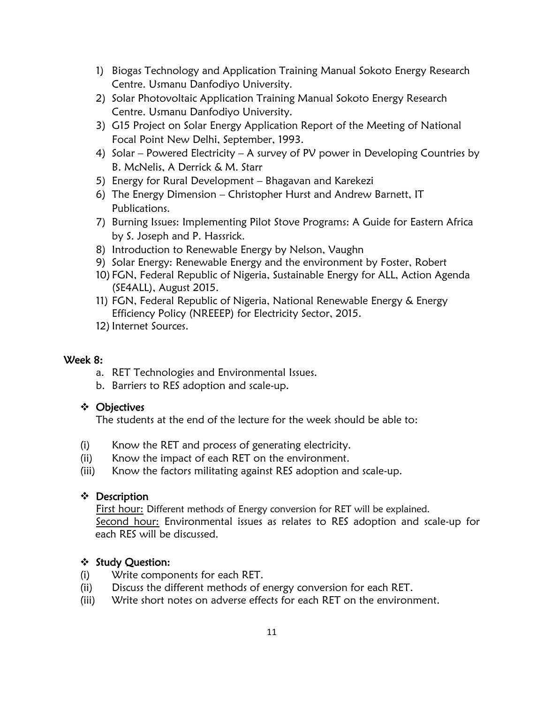- 1) Biogas Technology and Application Training Manual Sokoto Energy Research Centre. Usmanu Danfodiyo University.
- 2) Solar Photovoltaic Application Training Manual Sokoto Energy Research Centre. Usmanu Danfodiyo University.
- 3) G15 Project on Solar Energy Application Report of the Meeting of National Focal Point New Delhi, September, 1993.
- 4) Solar Powered Electricity A survey of PV power in Developing Countries by B. McNelis, A Derrick & M. Starr
- 5) Energy for Rural Development Bhagavan and Karekezi
- 6) The Energy Dimension Christopher Hurst and Andrew Barnett, IT Publications.
- 7) Burning Issues: Implementing Pilot Stove Programs: A Guide for Eastern Africa by S. Joseph and P. Hassrick.
- 8) Introduction to Renewable Energy by Nelson, Vaughn
- 9) Solar Energy: Renewable Energy and the environment by Foster, Robert
- 10) FGN, Federal Republic of Nigeria, Sustainable Energy for ALL, Action Agenda (SE4ALL), August 2015.
- 11) FGN, Federal Republic of Nigeria, National Renewable Energy & Energy Efficiency Policy (NREEEP) for Electricity Sector, 2015.
- 12) Internet Sources.

#### Week 8:

- a. RET Technologies and Environmental Issues.
- b. Barriers to RES adoption and scale-up.

#### Objectives

The students at the end of the lecture for the week should be able to:

- (i) Know the RET and process of generating electricity.
- (ii) Know the impact of each RET on the environment.
- (iii) Know the factors militating against RES adoption and scale-up.

#### Description

First hour: Different methods of Energy conversion for RET will be explained. Second hour: Environmental issues as relates to RES adoption and scale-up for each RES will be discussed.

#### ❖ Study Question:

- (i) Write components for each RET.
- (ii) Discuss the different methods of energy conversion for each RET.
- (iii) Write short notes on adverse effects for each RET on the environment.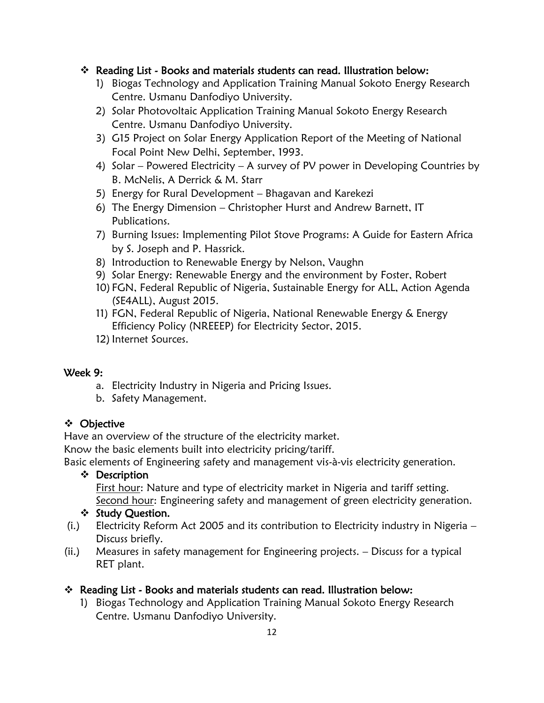#### Reading List - Books and materials students can read. Illustration below:

- 1) Biogas Technology and Application Training Manual Sokoto Energy Research Centre. Usmanu Danfodiyo University.
- 2) Solar Photovoltaic Application Training Manual Sokoto Energy Research Centre. Usmanu Danfodiyo University.
- 3) G15 Project on Solar Energy Application Report of the Meeting of National Focal Point New Delhi, September, 1993.
- 4) Solar Powered Electricity A survey of PV power in Developing Countries by B. McNelis, A Derrick & M. Starr
- 5) Energy for Rural Development Bhagavan and Karekezi
- 6) The Energy Dimension Christopher Hurst and Andrew Barnett, IT Publications.
- 7) Burning Issues: Implementing Pilot Stove Programs: A Guide for Eastern Africa by S. Joseph and P. Hassrick.
- 8) Introduction to Renewable Energy by Nelson, Vaughn
- 9) Solar Energy: Renewable Energy and the environment by Foster, Robert
- 10) FGN, Federal Republic of Nigeria, Sustainable Energy for ALL, Action Agenda (SE4ALL), August 2015.
- 11) FGN, Federal Republic of Nigeria, National Renewable Energy & Energy Efficiency Policy (NREEEP) for Electricity Sector, 2015.
- 12) Internet Sources.

#### Week 9:

- a. Electricity Industry in Nigeria and Pricing Issues.
- b. Safety Management.

#### Objective

Have an overview of the structure of the electricity market.

Know the basic elements built into electricity pricing/tariff.

Basic elements of Engineering safety and management vis-à-vis electricity generation.

#### ❖ Description

First hour: Nature and type of electricity market in Nigeria and tariff setting. Second hour: Engineering safety and management of green electricity generation.

#### ❖ Study Question.

- (i.) Electricity Reform Act 2005 and its contribution to Electricity industry in Nigeria Discuss briefly.
- (ii.) Measures in safety management for Engineering projects. Discuss for a typical RET plant.

#### Reading List - Books and materials students can read. Illustration below:

1) Biogas Technology and Application Training Manual Sokoto Energy Research Centre. Usmanu Danfodiyo University.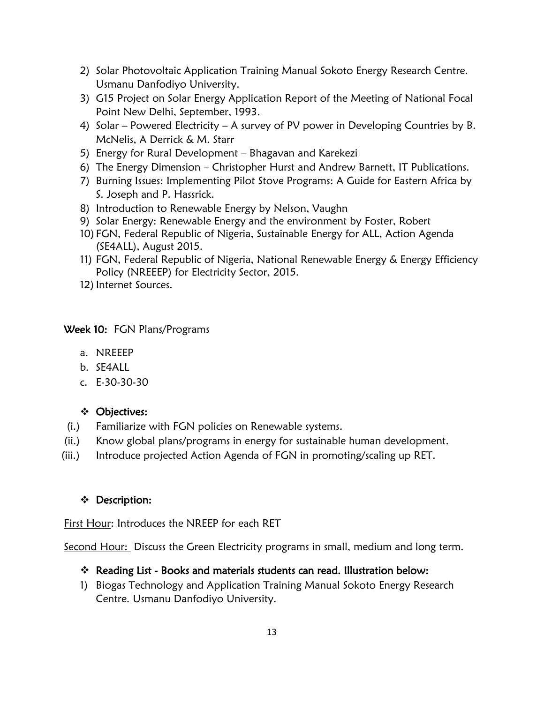- 2) Solar Photovoltaic Application Training Manual Sokoto Energy Research Centre. Usmanu Danfodiyo University.
- 3) G15 Project on Solar Energy Application Report of the Meeting of National Focal Point New Delhi, September, 1993.
- 4) Solar Powered Electricity A survey of PV power in Developing Countries by B. McNelis, A Derrick & M. Starr
- 5) Energy for Rural Development Bhagavan and Karekezi
- 6) The Energy Dimension Christopher Hurst and Andrew Barnett, IT Publications.
- 7) Burning Issues: Implementing Pilot Stove Programs: A Guide for Eastern Africa by S. Joseph and P. Hassrick.
- 8) Introduction to Renewable Energy by Nelson, Vaughn
- 9) Solar Energy: Renewable Energy and the environment by Foster, Robert
- 10) FGN, Federal Republic of Nigeria, Sustainable Energy for ALL, Action Agenda (SE4ALL), August 2015.
- 11) FGN, Federal Republic of Nigeria, National Renewable Energy & Energy Efficiency Policy (NREEEP) for Electricity Sector, 2015.
- 12) Internet Sources.

#### Week 10: FGN Plans/Programs

- a. NREEEP
- b. SE4ALL
- c. E-30-30-30

#### Objectives:

- (i.) Familiarize with FGN policies on Renewable systems.
- (ii.) Know global plans/programs in energy for sustainable human development.
- (iii.) Introduce projected Action Agenda of FGN in promoting/scaling up RET.

#### Description:

First Hour: Introduces the NREEP for each RET

Second Hour: Discuss the Green Electricity programs in small, medium and long term.

#### Reading List - Books and materials students can read. Illustration below:

1) Biogas Technology and Application Training Manual Sokoto Energy Research Centre. Usmanu Danfodiyo University.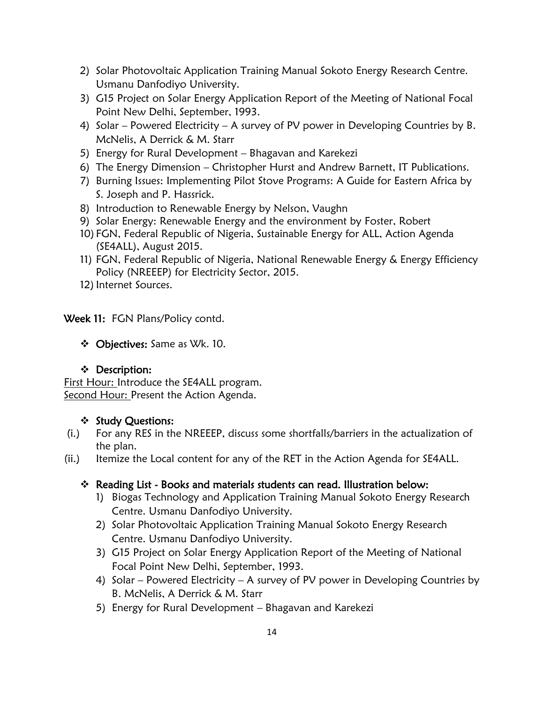- 2) Solar Photovoltaic Application Training Manual Sokoto Energy Research Centre. Usmanu Danfodiyo University.
- 3) G15 Project on Solar Energy Application Report of the Meeting of National Focal Point New Delhi, September, 1993.
- 4) Solar Powered Electricity A survey of PV power in Developing Countries by B. McNelis, A Derrick & M. Starr
- 5) Energy for Rural Development Bhagavan and Karekezi
- 6) The Energy Dimension Christopher Hurst and Andrew Barnett, IT Publications.
- 7) Burning Issues: Implementing Pilot Stove Programs: A Guide for Eastern Africa by S. Joseph and P. Hassrick.
- 8) Introduction to Renewable Energy by Nelson, Vaughn
- 9) Solar Energy: Renewable Energy and the environment by Foster, Robert
- 10) FGN, Federal Republic of Nigeria, Sustainable Energy for ALL, Action Agenda (SE4ALL), August 2015.
- 11) FGN, Federal Republic of Nigeria, National Renewable Energy & Energy Efficiency Policy (NREEEP) for Electricity Sector, 2015.
- 12) Internet Sources.

Week 11: FGN Plans/Policy contd.

Objectives: Same as Wk. 10.

#### Description:

First Hour: Introduce the SE4ALL program. Second Hour: Present the Action Agenda.

#### ❖ Study Questions:

- (i.) For any RES in the NREEEP, discuss some shortfalls/barriers in the actualization of the plan.
- (ii.) Itemize the Local content for any of the RET in the Action Agenda for SE4ALL.

- 1) Biogas Technology and Application Training Manual Sokoto Energy Research Centre. Usmanu Danfodiyo University.
- 2) Solar Photovoltaic Application Training Manual Sokoto Energy Research Centre. Usmanu Danfodiyo University.
- 3) G15 Project on Solar Energy Application Report of the Meeting of National Focal Point New Delhi, September, 1993.
- 4) Solar Powered Electricity A survey of PV power in Developing Countries by B. McNelis, A Derrick & M. Starr
- 5) Energy for Rural Development Bhagavan and Karekezi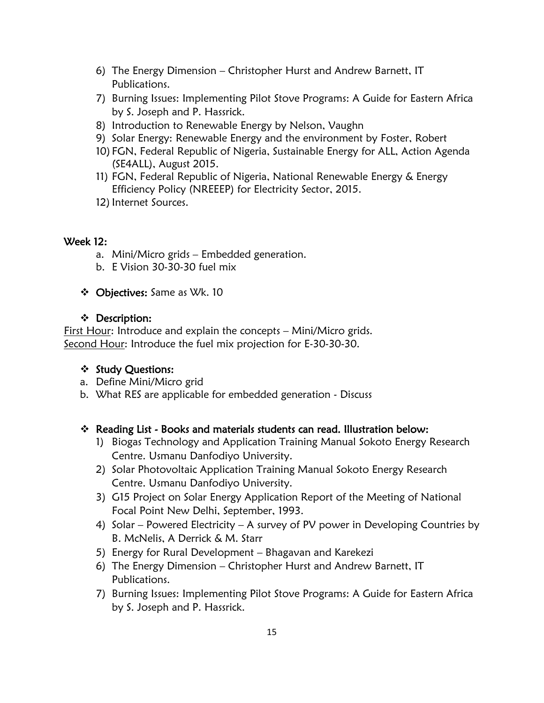- 6) The Energy Dimension Christopher Hurst and Andrew Barnett, IT Publications.
- 7) Burning Issues: Implementing Pilot Stove Programs: A Guide for Eastern Africa by S. Joseph and P. Hassrick.
- 8) Introduction to Renewable Energy by Nelson, Vaughn
- 9) Solar Energy: Renewable Energy and the environment by Foster, Robert
- 10) FGN, Federal Republic of Nigeria, Sustainable Energy for ALL, Action Agenda (SE4ALL), August 2015.
- 11) FGN, Federal Republic of Nigeria, National Renewable Energy & Energy Efficiency Policy (NREEEP) for Electricity Sector, 2015.
- 12) Internet Sources.

#### Week 12:

- a. Mini/Micro grids Embedded generation.
- b. E Vision 30-30-30 fuel mix
- Objectives: Same as Wk. 10

#### $\div$  Description:

First Hour: Introduce and explain the concepts – Mini/Micro grids. Second Hour: Introduce the fuel mix projection for E-30-30-30.

# ❖ Study Questions:

- a. Define Mini/Micro grid
- b. What RES are applicable for embedded generation Discuss

- 1) Biogas Technology and Application Training Manual Sokoto Energy Research Centre. Usmanu Danfodiyo University.
- 2) Solar Photovoltaic Application Training Manual Sokoto Energy Research Centre. Usmanu Danfodiyo University.
- 3) G15 Project on Solar Energy Application Report of the Meeting of National Focal Point New Delhi, September, 1993.
- 4) Solar Powered Electricity A survey of PV power in Developing Countries by B. McNelis, A Derrick & M. Starr
- 5) Energy for Rural Development Bhagavan and Karekezi
- 6) The Energy Dimension Christopher Hurst and Andrew Barnett, IT Publications.
- 7) Burning Issues: Implementing Pilot Stove Programs: A Guide for Eastern Africa by S. Joseph and P. Hassrick.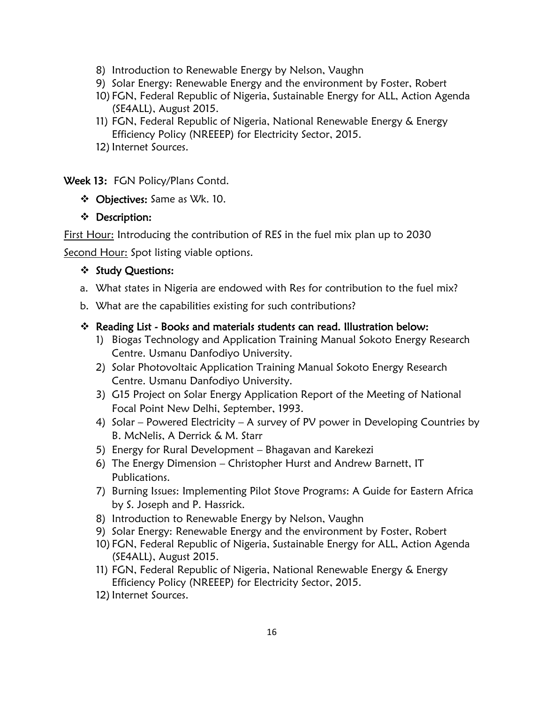- 8) Introduction to Renewable Energy by Nelson, Vaughn
- 9) Solar Energy: Renewable Energy and the environment by Foster, Robert
- 10) FGN, Federal Republic of Nigeria, Sustainable Energy for ALL, Action Agenda (SE4ALL), August 2015.
- 11) FGN, Federal Republic of Nigeria, National Renewable Energy & Energy Efficiency Policy (NREEEP) for Electricity Sector, 2015.
- 12) Internet Sources.

Week 13: FGN Policy/Plans Contd.

Objectives: Same as Wk. 10.

#### Description:

 $\overline{a}$ First Hour: Introducing the contribution of RES in the fuel mix plan up to 2030

Second Hour: Spot listing viable options.

#### ❖ Study Questions:

- a. What states in Nigeria are endowed with Res for contribution to the fuel mix?
- b. What are the capabilities existing for such contributions?

- 1) Biogas Technology and Application Training Manual Sokoto Energy Research Centre. Usmanu Danfodiyo University.
- 2) Solar Photovoltaic Application Training Manual Sokoto Energy Research Centre. Usmanu Danfodiyo University.
- 3) G15 Project on Solar Energy Application Report of the Meeting of National Focal Point New Delhi, September, 1993.
- 4) Solar Powered Electricity A survey of PV power in Developing Countries by B. McNelis, A Derrick & M. Starr
- 5) Energy for Rural Development Bhagavan and Karekezi
- 6) The Energy Dimension Christopher Hurst and Andrew Barnett, IT Publications.
- 7) Burning Issues: Implementing Pilot Stove Programs: A Guide for Eastern Africa by S. Joseph and P. Hassrick.
- 8) Introduction to Renewable Energy by Nelson, Vaughn
- 9) Solar Energy: Renewable Energy and the environment by Foster, Robert
- 10) FGN, Federal Republic of Nigeria, Sustainable Energy for ALL, Action Agenda (SE4ALL), August 2015.
- 11) FGN, Federal Republic of Nigeria, National Renewable Energy & Energy Efficiency Policy (NREEEP) for Electricity Sector, 2015.
- 12) Internet Sources.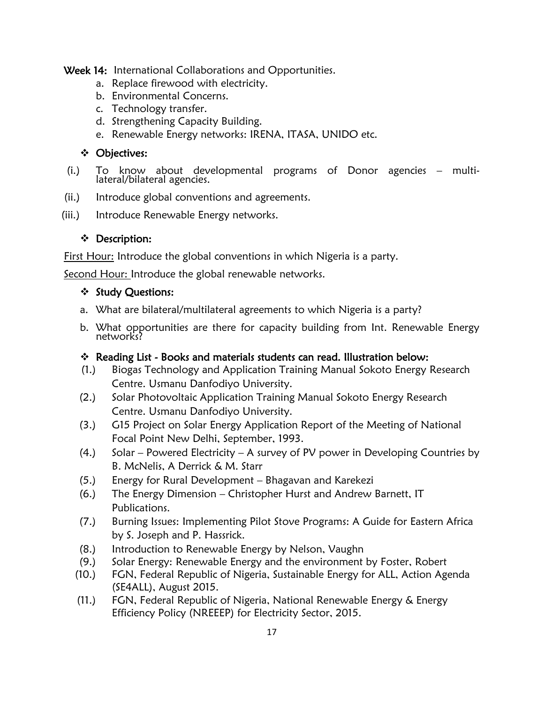Week 14: International Collaborations and Opportunities.

- a. Replace firewood with electricity.
- b. Environmental Concerns.
- c. Technology transfer.
- d. Strengthening Capacity Building.
- e. Renewable Energy networks: IRENA, ITASA, UNIDO etc.

#### Objectives:

- (i.) To know about developmental programs of Donor agencies multilateral/bilateral agencies.
- (ii.) Introduce global conventions and agreements.
- (iii.) Introduce Renewable Energy networks.

# Description:

 $\overline{a}$ First Hour: Introduce the global conventions in which Nigeria is a party.

Second Hour: Introduce the global renewable networks.

#### ❖ Study Questions:

- a. What are bilateral/multilateral agreements to which Nigeria is a party?
- b. What opportunities are there for capacity building from Int. Renewable Energy networks?

- (1.) Biogas Technology and Application Training Manual Sokoto Energy Research Centre. Usmanu Danfodiyo University.
- (2.) Solar Photovoltaic Application Training Manual Sokoto Energy Research Centre. Usmanu Danfodiyo University.
- (3.) G15 Project on Solar Energy Application Report of the Meeting of National Focal Point New Delhi, September, 1993.
- (4.) Solar Powered Electricity A survey of PV power in Developing Countries by B. McNelis, A Derrick & M. Starr
- (5.) Energy for Rural Development Bhagavan and Karekezi
- (6.) The Energy Dimension Christopher Hurst and Andrew Barnett, IT Publications.
- (7.) Burning Issues: Implementing Pilot Stove Programs: A Guide for Eastern Africa by S. Joseph and P. Hassrick.
- (8.) Introduction to Renewable Energy by Nelson, Vaughn
- (9.) Solar Energy: Renewable Energy and the environment by Foster, Robert
- (10.) FGN, Federal Republic of Nigeria, Sustainable Energy for ALL, Action Agenda (SE4ALL), August 2015.
- (11.) FGN, Federal Republic of Nigeria, National Renewable Energy & Energy Efficiency Policy (NREEEP) for Electricity Sector, 2015.